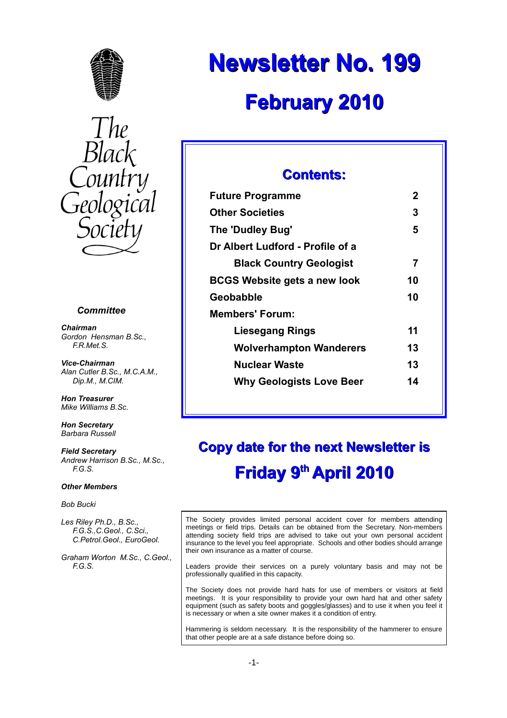



#### *Committee*

*Chairman Gordon Hensman B.Sc., F.R.Met.S.*

*Vice-Chairman Alan Cutler B.Sc., M.C.A.M., Dip.M., M.CIM.*

*Hon Treasurer Mike Williams B.Sc.*

*Hon Secretary Barbara Russell*

*Field Secretary Andrew Harrison B.Sc., M.Sc., F.G.S.*

#### *Other Members*

*Bob Bucki*

*Les Riley Ph.D., B.Sc., F.G.S.,C.Geol., C.Sci., C.Petrol.Geol., EuroGeol.*

*Graham Worton M.Sc., C.Geol., F.G.S.*

# **Newsletter No. 199 February 2010**

## **Contents:**

| <b>Future Programme</b>             | 2  |
|-------------------------------------|----|
| <b>Other Societies</b>              | 3  |
| The 'Dudley Bug'                    | 5  |
| Dr Albert Ludford - Profile of a    |    |
| <b>Black Country Geologist</b>      | 7  |
| <b>BCGS Website gets a new look</b> | 10 |
| Geobabble                           | 10 |
| Members' Forum:                     |    |
| <b>Liesegang Rings</b>              | 11 |
| <b>Wolverhampton Wanderers</b>      | 13 |
| <b>Nuclear Waste</b>                | 13 |
| <b>Why Geologists Love Beer</b>     | 14 |
|                                     |    |

# **Copy date for the next Newsletter is Friday 9th April 2010**

The Society provides limited personal accident cover for members attending meetings or field trips. Details can be obtained from the Secretary. Non-members attending society field trips are advised to take out your own personal accident insurance to the level you feel appropriate. Schools and other bodies should arrange their own insurance as a matter of course.

Leaders provide their services on a purely voluntary basis and may not be professionally qualified in this capacity.

The Society does not provide hard hats for use of members or visitors at field meetings. It is your responsibility to provide your own hard hat and other safety equipment (such as safety boots and goggles/glasses) and to use it when you feel it is necessary or when a site owner makes it a condition of entry.

Hammering is seldom necessary. It is the responsibility of the hammerer to ensure that other people are at a safe distance before doing so.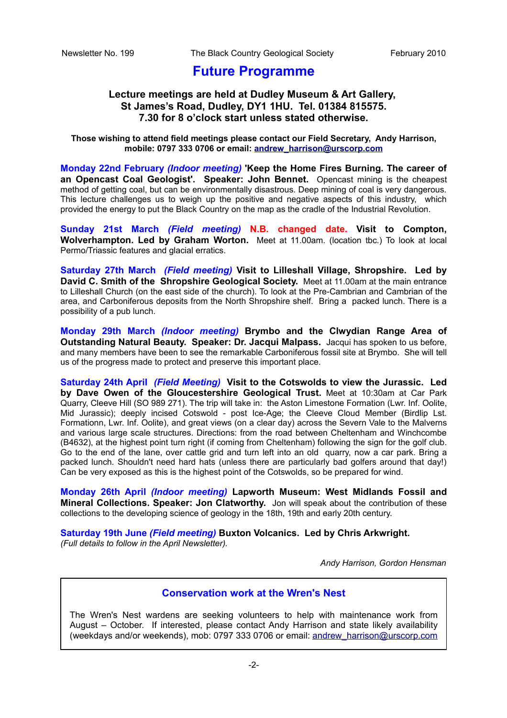## **Future Programme**

### **Lecture meetings are held at Dudley Museum & Art Gallery, St James's Road, Dudley, DY1 1HU. Tel. 01384 815575. 7.30 for 8 o'clock start unless stated otherwise.**

**Those wishing to attend field meetings please contact our Field Secretary, Andy Harrison, mobile: 0797 333 0706 or email: [andrew\\_harrison@urscorp.com](mailto:andrew_harrison@urscorp.com)**

**Monday 22nd February** *(Indoor meeting)* **'Keep the Home Fires Burning. The career of an Opencast Coal Geologist'. Speaker: John Bennet.** Opencast mining is the cheapest method of getting coal, but can be environmentally disastrous. Deep mining of coal is very dangerous. This lecture challenges us to weigh up the positive and negative aspects of this industry, which provided the energy to put the Black Country on the map as the cradle of the Industrial Revolution.

**Sunday 21st March** *(Field meeting)* **N.B. changed date. Visit to Compton, Wolverhampton. Led by Graham Worton.** Meet at 11.00am. (location tbc.) To look at local Permo/Triassic features and glacial erratics.

**Saturday 27th March** *(Field meeting)* **Visit to Lilleshall Village, Shropshire. Led by David C. Smith of the Shropshire Geological Society.** Meet at 11.00am at the main entrance to Lilleshall Church (on the east side of the church). To look at the Pre-Cambrian and Cambrian of the area, and Carboniferous deposits from the North Shropshire shelf. Bring a packed lunch. There is a possibility of a pub lunch.

**Monday 29th March** *(Indoor meeting)* **Brymbo and the Clwydian Range Area of Outstanding Natural Beauty. Speaker: Dr. Jacqui Malpass.** Jacqui has spoken to us before, and many members have been to see the remarkable Carboniferous fossil site at Brymbo. She will tell us of the progress made to protect and preserve this important place.

**Saturday 24th April** *(Field Meeting)* **Visit to the Cotswolds to view the Jurassic. Led by Dave Owen of the Gloucestershire Geological Trust.** Meet at 10:30am at Car Park Quarry, Cleeve Hill (SO 989 271). The trip will take in: the Aston Limestone Formation (Lwr. Inf. Oolite, Mid Jurassic); deeply incised Cotswold - post Ice-Age; the Cleeve Cloud Member (Birdlip Lst. Formationn, Lwr. Inf. Oolite), and great views (on a clear day) across the Severn Vale to the Malverns and various large scale structures. Directions: from the road between Cheltenham and Winchcombe (B4632), at the highest point turn right (if coming from Cheltenham) following the sign for the golf club. Go to the end of the lane, over cattle grid and turn left into an old quarry, now a car park. Bring a packed lunch. Shouldn't need hard hats (unless there are particularly bad golfers around that day!) Can be very exposed as this is the highest point of the Cotswolds, so be prepared for wind.

**Monday 26th April** *(Indoor meeting)* **Lapworth Museum: West Midlands Fossil and Mineral Collections. Speaker: Jon Clatworthy.** Jon will speak about the contribution of these collections to the developing science of geology in the 18th, 19th and early 20th century.

**Saturday 19th June** *(Field meeting)* **Buxton Volcanics. Led by Chris Arkwright.** *(Full details to follow in the April Newsletter).*

*Andy Harrison, Gordon Hensman*

### **Conservation work at the Wren's Nest**

The Wren's Nest wardens are seeking volunteers to help with maintenance work from August – October. If interested, please contact Andy Harrison and state likely availability (weekdays and/or weekends), mob: 0797 333 0706 or email: [andrew\\_harrison@urscorp.com](mailto:andrew_harrison@urscorp.com)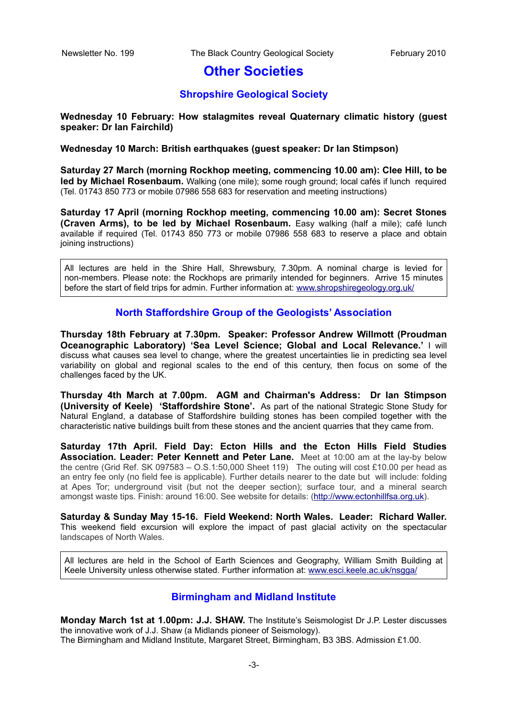## **Other Societies**

### **Shropshire Geological Society**

#### **Wednesday 10 February: How stalagmites reveal Quaternary climatic history (guest speaker: Dr Ian Fairchild)**

#### **Wednesday 10 March: British earthquakes (guest speaker: Dr Ian Stimpson)**

**Saturday 27 March (morning Rockhop meeting, commencing 10.00 am): Clee Hill, to be led by Michael Rosenbaum.** Walking (one mile); some rough ground; local cafés if lunch required (Tel. 01743 850 773 or mobile 07986 558 683 for reservation and meeting instructions)

**Saturday 17 April (morning Rockhop meeting, commencing 10.00 am): Secret Stones (Craven Arms), to be led by Michael Rosenbaum.** Easy walking (half a mile); café lunch available if required (Tel. 01743 850 773 or mobile 07986 558 683 to reserve a place and obtain joining instructions)

All lectures are held in the Shire Hall, Shrewsbury, 7.30pm. A nominal charge is levied for non-members. Please note: the Rockhops are primarily intended for beginners. Arrive 15 minutes before the start of field trips for admin. Further information at: [www.shropshiregeology.org.uk/](http://www.shropshiregeology.org.uk/)

#### **North Staffordshire Group of the Geologists' Association**

**Thursday 18th February at 7.30pm. Speaker: Professor Andrew Willmott (Proudman Oceanographic Laboratory) 'Sea Level Science; Global and Local Relevance.'** I will discuss what causes sea level to change, where the greatest uncertainties lie in predicting sea level variability on global and regional scales to the end of this century, then focus on some of the challenges faced by the UK.

**Thursday 4th March at 7.00pm. AGM and Chairman's Address: Dr Ian Stimpson (University of Keele) 'Staffordshire Stone'.** As part of the national Strategic Stone Study for Natural England, a database of Staffordshire building stones has been compiled together with the characteristic native buildings built from these stones and the ancient quarries that they came from.

**Saturday 17th April. Field Day: Ecton Hills and the Ecton Hills Field Studies Association. Leader: Peter Kennett and Peter Lane.** Meet at 10:00 am at the lay-by below the centre (Grid Ref. SK 097583 – O.S.1:50,000 Sheet 119) The outing will cost £10.00 per head as an entry fee only (no field fee is applicable). Further details nearer to the date but will include: folding at Apes Tor; underground visit (but not the deeper section); surface tour, and a mineral search amongst waste tips. Finish: around 16:00. See website for details: [\(http://www.ectonhillfsa.org.uk\)](http://www.ectonhillfsa.org.uk/).

**Saturday & Sunday May 15-16. Field Weekend: North Wales. Leader: Richard Waller.** This weekend field excursion will explore the impact of past glacial activity on the spectacular landscapes of North Wales.

All lectures are held in the School of Earth Sciences and Geography, William Smith Building at Keele University unless otherwise stated. Further information at: [www.esci.keele.ac.uk/nsgga/](http://www.esci.keele.ac.uk/nsgga/)

#### **Birmingham and Midland Institute**

**Monday March 1st at 1.00pm: J.J. SHAW.** The Institute's Seismologist Dr J.P. Lester discusses the innovative work of J.J. Shaw (a Midlands pioneer of Seismology). The Birmingham and Midland Institute, Margaret Street, Birmingham, B3 3BS. Admission £1.00.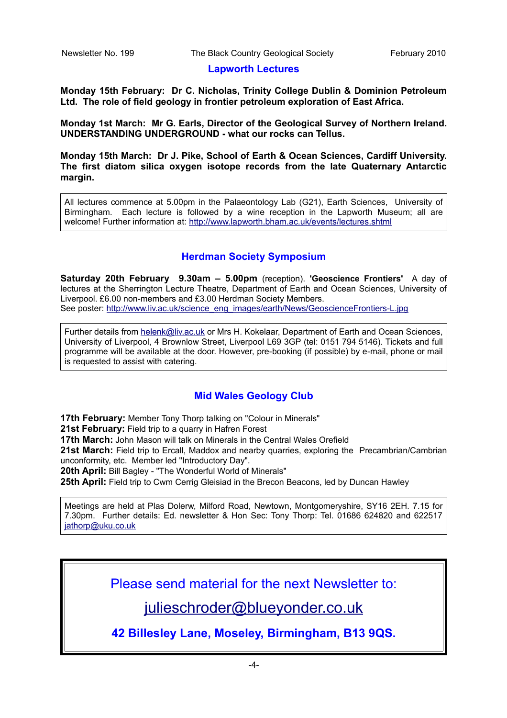#### **Lapworth Lectures**

**Monday 15th February: Dr C. Nicholas, Trinity College Dublin & Dominion Petroleum Ltd. The role of field geology in frontier petroleum exploration of East Africa.**

**Monday 1st March: Mr G. Earls, Director of the Geological Survey of Northern Ireland. UNDERSTANDING UNDERGROUND - what our rocks can Tellus.**

**Monday 15th March: Dr J. Pike, School of Earth & Ocean Sciences, Cardiff University. The first diatom silica oxygen isotope records from the late Quaternary Antarctic margin.**

All lectures commence at 5.00pm in the Palaeontology Lab (G21), Earth Sciences, University of Birmingham. Each lecture is followed by a wine reception in the Lapworth Museum; all are welcome! Further information at:<http://www.lapworth.bham.ac.uk/events/lectures.shtml>

## **Herdman Society Symposium**

**Saturday 20th February 9.30am – 5.00pm** (reception). **'Geoscience Frontiers'** A day of lectures at the Sherrington Lecture Theatre, Department of Earth and Ocean Sciences, University of Liverpool. £6.00 non-members and £3.00 Herdman Society Members. See poster: [http://www.liv.ac.uk/science\\_eng\\_images/earth/News/GeoscienceFrontiers-L.jpg](http://www.liv.ac.uk/science_eng_images/earth/News/GeoscienceFrontiers-L.jpg)

Further details from [helenk@liv.ac.uk](mailto:helenk@liv.ac.uk) or Mrs H. Kokelaar, Department of Earth and Ocean Sciences, University of Liverpool, 4 Brownlow Street, Liverpool L69 3GP (tel: 0151 794 5146). Tickets and full programme will be available at the door. However, pre-booking (if possible) by e-mail, phone or mail is requested to assist with catering.

## **Mid Wales Geology Club**

**17th February:** Member Tony Thorp talking on "Colour in Minerals"

**21st February:** Field trip to a quarry in Hafren Forest

**17th March:** John Mason will talk on Minerals in the Central Wales Orefield

21st March: Field trip to Ercall, Maddox and nearby quarries, exploring the Precambrian/Cambrian unconformity, etc. Member led "Introductory Day".

**20th April:** Bill Bagley - "The Wonderful World of Minerals"

**25th April:** Field trip to Cwm Cerrig Gleisiad in the Brecon Beacons, led by Duncan Hawley

Meetings are held at Plas Dolerw, Milford Road, Newtown, Montgomeryshire, SY16 2EH. 7.15 for 7.30pm. Further details: Ed. newsletter & Hon Sec: Tony Thorp: Tel. 01686 624820 and 622517 [jathorp@uku.co.uk](mailto:jathorp@uku.co.uk)

Please send material for the next Newsletter to:

[julieschroder@blueyonder.co.uk](mailto:julieschroder@blueyonder.co.uk)

**42 Billesley Lane, Moseley, Birmingham, B13 9QS.**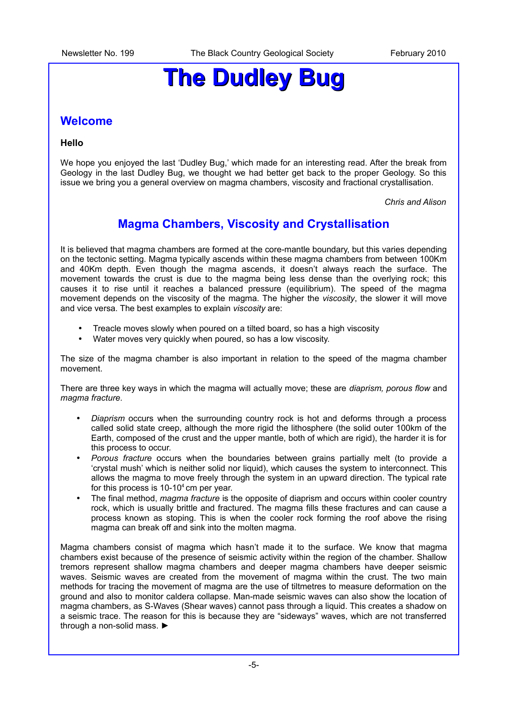# **The Dudley Bug**

## **Welcome**

#### **Hello**

We hope you enjoyed the last 'Dudley Bug,' which made for an interesting read. After the break from Geology in the last Dudley Bug, we thought we had better get back to the proper Geology. So this issue we bring you a general overview on magma chambers, viscosity and fractional crystallisation.

*Chris and Alison*

## **Magma Chambers, Viscosity and Crystallisation**

It is believed that magma chambers are formed at the core-mantle boundary, but this varies depending on the tectonic setting. Magma typically ascends within these magma chambers from between 100Km and 40Km depth. Even though the magma ascends, it doesn't always reach the surface. The movement towards the crust is due to the magma being less dense than the overlying rock; this causes it to rise until it reaches a balanced pressure (equilibrium). The speed of the magma movement depends on the viscosity of the magma. The higher the *viscosity*, the slower it will move and vice versa. The best examples to explain *viscosity* are:

- Treacle moves slowly when poured on a tilted board, so has a high viscosity
- Water moves very quickly when poured, so has a low viscosity.

The size of the magma chamber is also important in relation to the speed of the magma chamber movement.

There are three key ways in which the magma will actually move; these are *diaprism, porous flow* and *magma fracture*.

- *Diaprism* occurs when the surrounding country rock is hot and deforms through a process called solid state creep, although the more rigid the lithosphere (the solid outer 100km of the Earth, composed of the crust and the upper mantle, both of which are rigid), the harder it is for this process to occur.
- *Porous fracture* occurs when the boundaries between grains partially melt (to provide a 'crystal mush' which is neither solid nor liquid), which causes the system to interconnect. This allows the magma to move freely through the system in an upward direction. The typical rate for this process is  $10-10<sup>4</sup>$ cm per year.
- The final method, *magma fracture* is the opposite of diaprism and occurs within cooler country rock, which is usually brittle and fractured. The magma fills these fractures and can cause a process known as stoping. This is when the cooler rock forming the roof above the rising magma can break off and sink into the molten magma.

Magma chambers consist of magma which hasn't made it to the surface. We know that magma chambers exist because of the presence of seismic activity within the region of the chamber. Shallow tremors represent shallow magma chambers and deeper magma chambers have deeper seismic waves. Seismic waves are created from the movement of magma within the crust. The two main methods for tracing the movement of magma are the use of tiltmetres to measure deformation on the ground and also to monitor caldera collapse. Man-made seismic waves can also show the location of magma chambers, as S-Waves (Shear waves) cannot pass through a liquid. This creates a shadow on a seismic trace. The reason for this is because they are "sideways" waves, which are not transferred through a non-solid mass. ►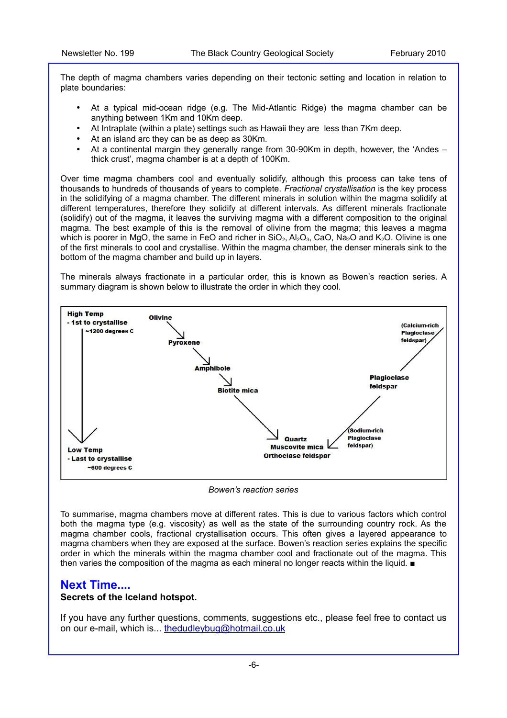The depth of magma chambers varies depending on their tectonic setting and location in relation to plate boundaries:

- At a typical mid-ocean ridge (e.g. The Mid-Atlantic Ridge) the magma chamber can be anything between 1Km and 10Km deep.
- At Intraplate (within a plate) settings such as Hawaii they are less than 7Km deep.
- At an island arc they can be as deep as 30Km.
- At a continental margin they generally range from 30-90Km in depth, however, the 'Andes thick crust', magma chamber is at a depth of 100Km.

Over time magma chambers cool and eventually solidify, although this process can take tens of thousands to hundreds of thousands of years to complete. *Fractional crystallisation* is the key process in the solidifying of a magma chamber. The different minerals in solution within the magma solidify at different temperatures, therefore they solidify at different intervals. As different minerals fractionate (solidify) out of the magma, it leaves the surviving magma with a different composition to the original magma. The best example of this is the removal of olivine from the magma; this leaves a magma which is poorer in MgO, the same in FeO and richer in  $SiO_2$ ,  $Al_2O_3$ , CaO, Na<sub>2</sub>O and K<sub>2</sub>O. Olivine is one of the first minerals to cool and crystallise. Within the magma chamber, the denser minerals sink to the bottom of the magma chamber and build up in layers.

The minerals always fractionate in a particular order, this is known as Bowen's reaction series. A summary diagram is shown below to illustrate the order in which they cool.



*Bowen's reaction series*

To summarise, magma chambers move at different rates. This is due to various factors which control both the magma type (e.g. viscosity) as well as the state of the surrounding country rock. As the magma chamber cools, fractional crystallisation occurs. This often gives a layered appearance to magma chambers when they are exposed at the surface. Bowen's reaction series explains the specific order in which the minerals within the magma chamber cool and fractionate out of the magma. This then varies the composition of the magma as each mineral no longer reacts within the liquid. ■

#### **Next Time....**

#### **Secrets of the Iceland hotspot.**

If you have any further questions, comments, suggestions etc., please feel free to contact us on our e-mail, which is... [thedudleybug@hotmail.co.uk](mailto:thedudleybug@hotmail.co.uk)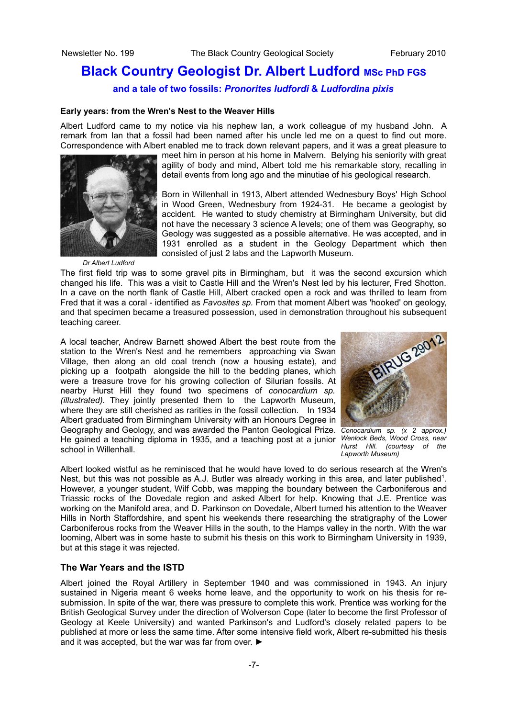## **Black Country Geologist Dr. Albert Ludford MSc PhD FGS**

#### **and a tale of two fossils:** *Pronorites ludfordi* **&** *Ludfordina pixis*

#### **Early years: from the Wren's Nest to the Weaver Hills**

Albert Ludford came to my notice via his nephew Ian, a work colleague of my husband John. A remark from Ian that a fossil had been named after his uncle led me on a quest to find out more. Correspondence with Albert enabled me to track down relevant papers, and it was a great pleasure to



meet him in person at his home in Malvern. Belying his seniority with great agility of body and mind, Albert told me his remarkable story, recalling in detail events from long ago and the minutiae of his geological research.

Born in Willenhall in 1913, Albert attended Wednesbury Boys' High School in Wood Green, Wednesbury from 1924-31. He became a geologist by accident. He wanted to study chemistry at Birmingham University, but did not have the necessary 3 science A levels; one of them was Geography, so Geology was suggested as a possible alternative. He was accepted, and in 1931 enrolled as a student in the Geology Department which then consisted of just 2 labs and the Lapworth Museum.

*Dr Albert Ludford*

The first field trip was to some gravel pits in Birmingham, but it was the second excursion which changed his life. This was a visit to Castle Hill and the Wren's Nest led by his lecturer, Fred Shotton. In a cave on the north flank of Castle Hill, Albert cracked open a rock and was thrilled to learn from Fred that it was a coral - identified as *Favosites sp.* From that moment Albert was 'hooked' on geology, and that specimen became a treasured possession, used in demonstration throughout his subsequent teaching career.

A local teacher, Andrew Barnett showed Albert the best route from the station to the Wren's Nest and he remembers approaching via Swan Village, then along an old coal trench (now a housing estate), and picking up a footpath alongside the hill to the bedding planes, which were a treasure trove for his growing collection of Silurian fossils. At nearby Hurst Hill they found two specimens of *conocardium sp. (illustrated).* They jointly presented them to the Lapworth Museum, where they are still cherished as rarities in the fossil collection. In 1934 Albert graduated from Birmingham University with an Honours Degree in Geography and Geology, and was awarded the Panton Geological Prize. *Conocardium sp. (x 2 approx.)* He gained a teaching diploma in 1935, and a teaching post at a junior *Wenlock Beds, Wood Cross, near* school in Willenhall.



*Hurst Hill. (courtesy of the Lapworth Museum)*

Albert looked wistful as he reminisced that he would have loved to do serious research at the Wren's Nest, but this was not possible as A.J. Butler was already working in this area, and later published<sup>1</sup>. However, a younger student, Wilf Cobb, was mapping the boundary between the Carboniferous and Triassic rocks of the Dovedale region and asked Albert for help. Knowing that J.E. Prentice was working on the Manifold area, and D. Parkinson on Dovedale, Albert turned his attention to the Weaver Hills in North Staffordshire, and spent his weekends there researching the stratigraphy of the Lower Carboniferous rocks from the Weaver Hills in the south, to the Hamps valley in the north. With the war looming, Albert was in some haste to submit his thesis on this work to Birmingham University in 1939, but at this stage it was rejected.

#### **The War Years and the ISTD**

Albert joined the Royal Artillery in September 1940 and was commissioned in 1943. An injury sustained in Nigeria meant 6 weeks home leave, and the opportunity to work on his thesis for resubmission. In spite of the war, there was pressure to complete this work. Prentice was working for the British Geological Survey under the direction of Wolverson Cope (later to become the first Professor of Geology at Keele University) and wanted Parkinson's and Ludford's closely related papers to be published at more or less the same time. After some intensive field work, Albert re-submitted his thesis and it was accepted, but the war was far from over. ►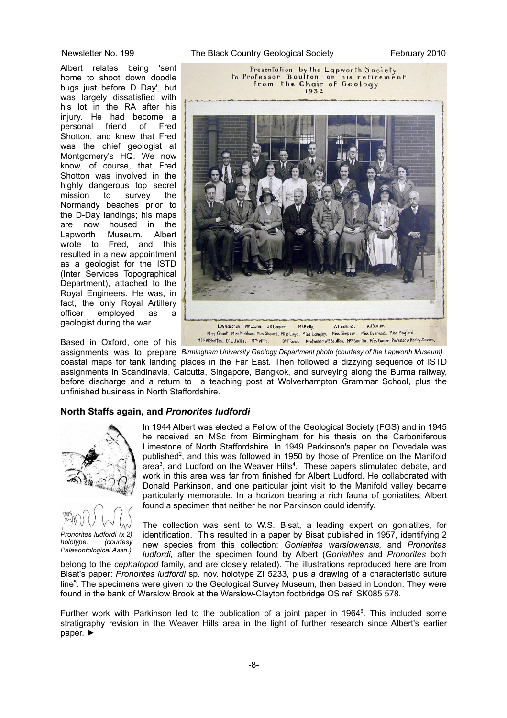Albert relates being 'sent home to shoot down doodle bugs just before D Day', but was largely dissatisfied with his lot in the RA after his injury. He had become a personal friend of Fred Shotton, and knew that Fred was the chief geologist at Montgomery's HQ. We now know, of course, that Fred Shotton was involved in the highly dangerous top secret mission to survey the Normandy beaches prior to the D-Day landings; his maps are now housed in the Lapworth Museum. Albert wrote to Fred, and this resulted in a new appointment as a geologist for the ISTD (Inter Services Topographical Department), attached to the Royal Engineers. He was, in fact, the only Royal Artillery officer employed as a geologist during the war.

Based in Oxford, one of his

Newsletter No. 199 The Black Country Geological Society February 2010



assignments was to prepare *Birmingham University Geology Department photo (courtesy of the Lapworth Museum)* coastal maps for tank landing places in the Far East. Then followed a dizzying sequence of ISTD assignments in Scandinavia, Calcutta, Singapore, Bangkok, and surveying along the Burma railway, before discharge and a return to a teaching post at Wolverhampton Grammar School, plus the unfinished business in North Staffordshire.

#### **North Staffs again, and** *Pronorites ludfordi*



*Pronorites ludfordi (x 2) holotype. (courtesy Palaeontological Assn.)*

In 1944 Albert was elected a Fellow of the Geological Society (FGS) and in 1945 he received an MSc from Birmingham for his thesis on the Carboniferous Limestone of North Staffordshire. In 1949 Parkinson's paper on Dovedale was published<sup>2</sup>, and this was followed in 1950 by those of Prentice on the Manifold area<sup>3</sup>, and Ludford on the Weaver Hills<sup>4</sup>. These papers stimulated debate, and work in this area was far from finished for Albert Ludford. He collaborated with Donald Parkinson, and one particular joint visit to the Manifold valley became particularly memorable. In a horizon bearing a rich fauna of goniatites, Albert found a specimen that neither he nor Parkinson could identify.

The collection was sent to W.S. Bisat, a leading expert on goniatites, for identification. This resulted in a paper by Bisat published in 1957, identifying 2 new species from this collection: *Goniatites warslowensis,* and *Pronorites ludfordi,* after the specimen found by Albert (*Goniatites* and *Pronorites* both

belong to the *cephalopod* family, and are closely related). The illustrations reproduced here are from Bisat's paper: *Pronorites ludfordi* sp. nov. holotype ZI 5233, plus a drawing of a characteristic suture line<sup>5</sup>. The specimens were given to the Geological Survey Museum, then based in London. They were found in the bank of Warslow Brook at the Warslow-Clayton footbridge OS ref: SK085 578.

Further work with Parkinson led to the publication of a joint paper in 1964 $<sup>6</sup>$ . This included some</sup> stratigraphy revision in the Weaver Hills area in the light of further research since Albert's earlier paper. ►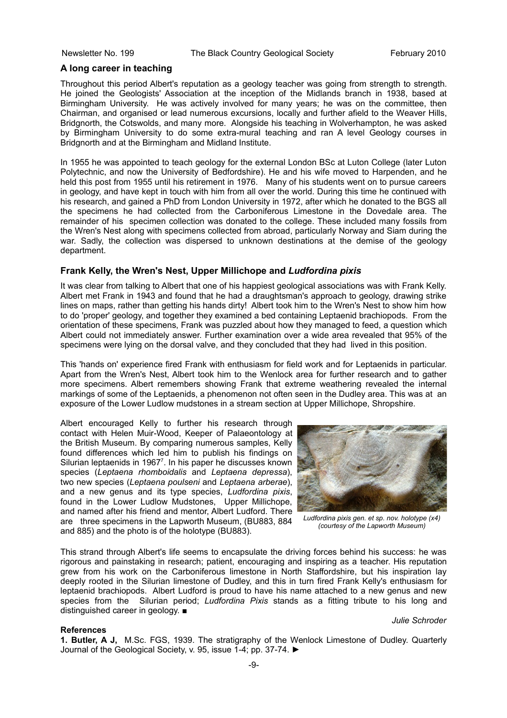#### **A long career in teaching**

Throughout this period Albert's reputation as a geology teacher was going from strength to strength. He joined the Geologists' Association at the inception of the Midlands branch in 1938, based at Birmingham University. He was actively involved for many years; he was on the committee, then Chairman, and organised or lead numerous excursions, locally and further afield to the Weaver Hills, Bridgnorth, the Cotswolds, and many more. Alongside his teaching in Wolverhampton, he was asked by Birmingham University to do some extra-mural teaching and ran A level Geology courses in Bridgnorth and at the Birmingham and Midland Institute.

In 1955 he was appointed to teach geology for the external London BSc at Luton College (later Luton Polytechnic, and now the University of Bedfordshire). He and his wife moved to Harpenden, and he held this post from 1955 until his retirement in 1976. Many of his students went on to pursue careers in geology, and have kept in touch with him from all over the world. During this time he continued with his research, and gained a PhD from London University in 1972, after which he donated to the BGS all the specimens he had collected from the Carboniferous Limestone in the Dovedale area. The remainder of his specimen collection was donated to the college. These included many fossils from the Wren's Nest along with specimens collected from abroad, particularly Norway and Siam during the war. Sadly, the collection was dispersed to unknown destinations at the demise of the geology department.

#### **Frank Kelly, the Wren's Nest, Upper Millichope and** *Ludfordina pixis*

It was clear from talking to Albert that one of his happiest geological associations was with Frank Kelly. Albert met Frank in 1943 and found that he had a draughtsman's approach to geology, drawing strike lines on maps, rather than getting his hands dirty! Albert took him to the Wren's Nest to show him how to do 'proper' geology, and together they examined a bed containing Leptaenid brachiopods. From the orientation of these specimens, Frank was puzzled about how they managed to feed, a question which Albert could not immediately answer. Further examination over a wide area revealed that 95% of the specimens were lying on the dorsal valve, and they concluded that they had lived in this position.

This 'hands on' experience fired Frank with enthusiasm for field work and for Leptaenids in particular. Apart from the Wren's Nest, Albert took him to the Wenlock area for further research and to gather more specimens. Albert remembers showing Frank that extreme weathering revealed the internal markings of some of the Leptaenids, a phenomenon not often seen in the Dudley area. This was at an exposure of the Lower Ludlow mudstones in a stream section at Upper Millichope, Shropshire.

Albert encouraged Kelly to further his research through contact with Helen Muir-Wood, Keeper of Palaeontology at the British Museum. By comparing numerous samples, Kelly found differences which led him to publish his findings on Silurian leptaenids in 1967<sup>7</sup>. In his paper he discusses known species (*Leptaena rhomboidalis* and *Leptaena depressa*), two new species (*Leptaena poulseni* and *Leptaena arberae*), and a new genus and its type species, *Ludfordina pixis*, found in the Lower Ludlow Mudstones. Upper Millichope, and named after his friend and mentor, Albert Ludford. There are three specimens in the Lapworth Museum, (BU883, 884 and 885) and the photo is of the holotype (BU883).



*Ludfordina pixis gen. et sp. nov. holotype (x4) (courtesy of the Lapworth Museum)*

*Julie Schroder*

This strand through Albert's life seems to encapsulate the driving forces behind his success: he was rigorous and painstaking in research; patient, encouraging and inspiring as a teacher. His reputation grew from his work on the Carboniferous limestone in North Staffordshire, but his inspiration lay deeply rooted in the Silurian limestone of Dudley, and this in turn fired Frank Kelly's enthusiasm for leptaenid brachiopods. Albert Ludford is proud to have his name attached to a new genus and new species from the Silurian period; *Ludfordina Pixis* stands as a fitting tribute to his long and distinguished career in geology. ■

#### **References**

**1. Butler, A J,** M.Sc. FGS, 1939. The stratigraphy of the Wenlock Limestone of Dudley. Quarterly Journal of the Geological Society, v. 95, issue 1-4; pp. 37-74. ►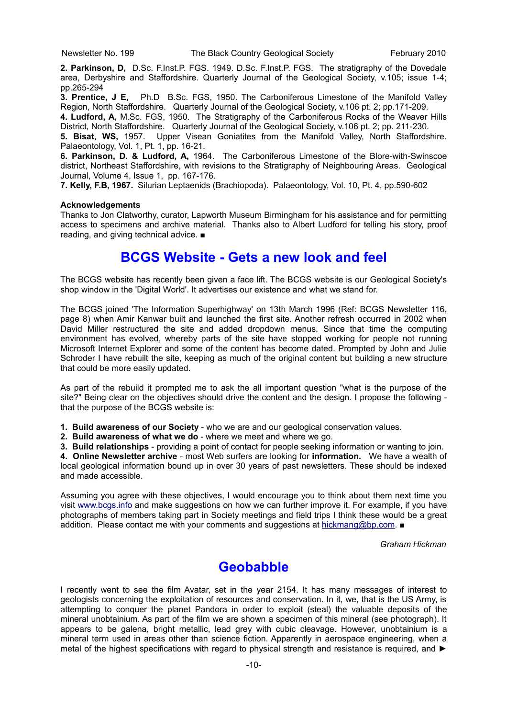**2. Parkinson, D,** D.Sc. F.Inst.P. FGS. 1949. D.Sc. F.Inst.P. FGS. The stratigraphy of the Dovedale area, Derbyshire and Staffordshire. Quarterly Journal of the Geological Society, v.105; issue 1-4; pp.265-294

**3. Prentice, J E,** Ph.D B.Sc. FGS, 1950. The Carboniferous Limestone of the Manifold Valley Region, North Staffordshire. Quarterly Journal of the Geological Society, v.106 pt. 2; pp.171-209.

**4. Ludford, A,** M.Sc. FGS, 1950. The Stratigraphy of the Carboniferous Rocks of the Weaver Hills District, North Staffordshire. Quarterly Journal of the Geological Society, v.106 pt. 2; pp. 211-230.

**5. Bisat, WS,** 1957. Upper Visean Goniatites from the Manifold Valley, North Staffordshire. Palaeontology, Vol. 1, Pt. 1, pp. 16-21.

**6. Parkinson, D. & Ludford, A,** 1964. The Carboniferous Limestone of the Blore-with-Swinscoe district, Northeast Staffordshire, with revisions to the Stratigraphy of Neighbouring Areas. Geological Journal, Volume 4, Issue 1, pp. 167-176.

**7. Kelly, F.B, 1967.** Silurian Leptaenids (Brachiopoda). Palaeontology, Vol. 10, Pt. 4, pp.590-602

#### **Acknowledgements**

Thanks to Jon Clatworthy, curator, Lapworth Museum Birmingham for his assistance and for permitting access to specimens and archive material. Thanks also to Albert Ludford for telling his story, proof reading, and giving technical advice. ■

## **BCGS Website - Gets a new look and feel**

The BCGS website has recently been given a face lift. The BCGS website is our Geological Society's shop window in the 'Digital World'. It advertises our existence and what we stand for.

The BCGS joined 'The Information Superhighway' on 13th March 1996 (Ref: BCGS Newsletter 116, page 8) when Amir Kanwar built and launched the first site. Another refresh occurred in 2002 when David Miller restructured the site and added dropdown menus. Since that time the computing environment has evolved, whereby parts of the site have stopped working for people not running Microsoft Internet Explorer and some of the content has become dated. Prompted by John and Julie Schroder I have rebuilt the site, keeping as much of the original content but building a new structure that could be more easily updated.

As part of the rebuild it prompted me to ask the all important question "what is the purpose of the site?" Being clear on the objectives should drive the content and the design. I propose the following that the purpose of the BCGS website is:

**1. Build awareness of our Society** - who we are and our geological conservation values.

**2. Build awareness of what we do** - where we meet and where we go.

**3. Build relationships** - providing a point of contact for people seeking information or wanting to join.

**4. Online Newsletter archive** - most Web surfers are looking for **information.** We have a wealth of local geological information bound up in over 30 years of past newsletters. These should be indexed and made accessible.

Assuming you agree with these objectives, I would encourage you to think about them next time you visit [www.bcgs.info](http://www.bcgs.info/) and make suggestions on how we can further improve it. For example, if you have photographs of members taking part in Society meetings and field trips I think these would be a great addition. Please contact me with your comments and suggestions at [hickmang@bp.com.](mailto:hickmang@bp.com) ■

*Graham Hickman*

## **Geobabble**

I recently went to see the film Avatar, set in the year 2154. It has many messages of interest to geologists concerning the exploitation of resources and conservation. In it, we, that is the US Army, is attempting to conquer the planet Pandora in order to exploit (steal) the valuable deposits of the mineral unobtainium. As part of the film we are shown a specimen of this mineral (see photograph). It appears to be galena, bright metallic, lead grey with cubic cleavage. However, unobtainium is a mineral term used in areas other than science fiction. Apparently in aerospace engineering, when a metal of the highest specifications with regard to physical strength and resistance is required, and ►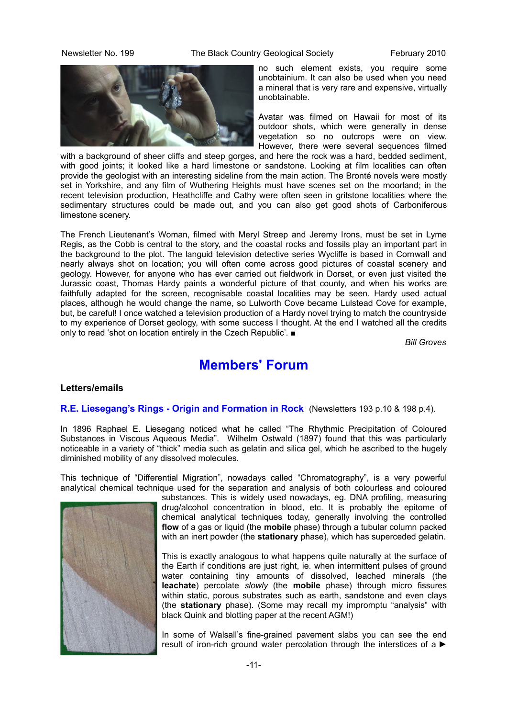Newsletter No. 199 The Black Country Geological Society February 2010



no such element exists, you require some unobtainium. It can also be used when you need a mineral that is very rare and expensive, virtually unobtainable.

Avatar was filmed on Hawaii for most of its outdoor shots, which were generally in dense vegetation so no outcrops were on view. However, there were several sequences filmed

with a background of sheer cliffs and steep gorges, and here the rock was a hard, bedded sediment, with good joints; it looked like a hard limestone or sandstone. Looking at film localities can often provide the geologist with an interesting sideline from the main action. The Bronté novels were mostly set in Yorkshire, and any film of Wuthering Heights must have scenes set on the moorland; in the recent television production, Heathcliffe and Cathy were often seen in gritstone localities where the sedimentary structures could be made out, and you can also get good shots of Carboniferous limestone scenery.

The French Lieutenant's Woman, filmed with Meryl Streep and Jeremy Irons, must be set in Lyme Regis, as the Cobb is central to the story, and the coastal rocks and fossils play an important part in the background to the plot. The languid television detective series Wycliffe is based in Cornwall and nearly always shot on location; you will often come across good pictures of coastal scenery and geology. However, for anyone who has ever carried out fieldwork in Dorset, or even just visited the Jurassic coast, Thomas Hardy paints a wonderful picture of that county, and when his works are faithfully adapted for the screen, recognisable coastal localities may be seen. Hardy used actual places, although he would change the name, so Lulworth Cove became Lulstead Cove for example, but, be careful! I once watched a television production of a Hardy novel trying to match the countryside to my experience of Dorset geology, with some success I thought. At the end I watched all the credits only to read 'shot on location entirely in the Czech Republic'. ■

*Bill Groves*

## **Members' Forum**

#### **Letters/emails**

#### **R.E. Liesegang's Rings - Origin and Formation in Rock** (Newsletters 193 p.10 & 198 p.4).

In 1896 Raphael E. Liesegang noticed what he called "The Rhythmic Precipitation of Coloured Substances in Viscous Aqueous Media". Wilhelm Ostwald (1897) found that this was particularly noticeable in a variety of "thick" media such as gelatin and silica gel, which he ascribed to the hugely diminished mobility of any dissolved molecules.

This technique of "Differential Migration", nowadays called "Chromatography", is a very powerful analytical chemical technique used for the separation and analysis of both colourless and coloured



substances. This is widely used nowadays, eg. DNA profiling, measuring drug/alcohol concentration in blood, etc. It is probably the epitome of chemical analytical techniques today, generally involving the controlled **flow** of a gas or liquid (the **mobile** phase) through a tubular column packed with an inert powder (the **stationary** phase), which has superceded gelatin.

This is exactly analogous to what happens quite naturally at the surface of the Earth if conditions are just right, ie. when intermittent pulses of ground water containing tiny amounts of dissolved, leached minerals (the **leachate**) percolate *slowly* (the **mobile** phase) through micro fissures within static, porous substrates such as earth, sandstone and even clays (the **stationary** phase). (Some may recall my impromptu "analysis" with black Quink and blotting paper at the recent AGM!)

In some of Walsall's fine-grained pavement slabs you can see the end result of iron-rich ground water percolation through the interstices of a ►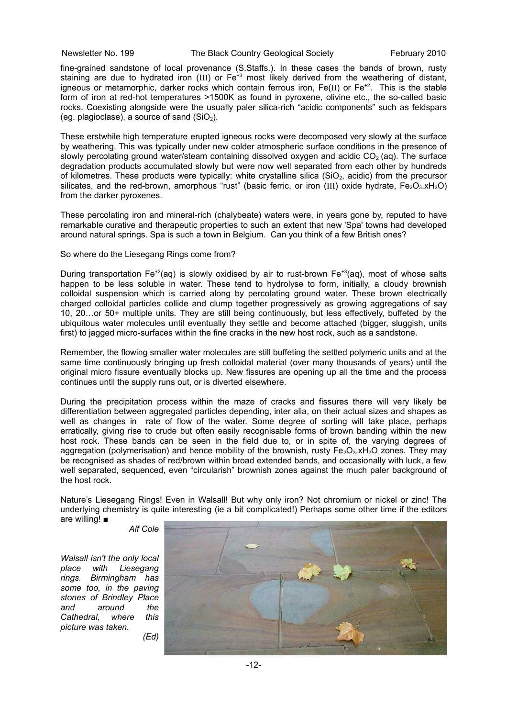#### Newsletter No. 199 The Black Country Geological Society February 2010

fine-grained sandstone of local provenance (S.Staffs.). In these cases the bands of brown, rusty staining are due to hydrated iron (III) or  $Fe<sup>43</sup>$  most likely derived from the weathering of distant, igneous or metamorphic, darker rocks which contain ferrous iron,  $Fe(II)$  or  $Fe^{+2}$ . This is the stable form of iron at red-hot temperatures >1500K as found in pyroxene, olivine etc., the so-called basic rocks. Coexisting alongside were the usually paler silica-rich "acidic components" such as feldspars (eq. plagioclase), a source of sand  $(SiO<sub>2</sub>)$ .

These erstwhile high temperature erupted igneous rocks were decomposed very slowly at the surface by weathering. This was typically under new colder atmospheric surface conditions in the presence of slowly percolating ground water/steam containing dissolved oxygen and acidic  $CO<sub>2</sub>$  (ag). The surface degradation products accumulated slowly but were now well separated from each other by hundreds of kilometres. These products were typically: white crystalline silica ( $SiO<sub>2</sub>$ , acidic) from the precursor silicates, and the red-brown, amorphous "rust" (basic ferric, or iron (III) oxide hydrate,  $Fe<sub>2</sub>O<sub>3</sub>$ .xH<sub>2</sub>O) from the darker pyroxenes.

These percolating iron and mineral-rich (chalybeate) waters were, in years gone by, reputed to have remarkable curative and therapeutic properties to such an extent that new 'Spa' towns had developed around natural springs. Spa is such a town in Belgium. Can you think of a few British ones?

#### So where do the Liesegang Rings come from?

During transportation Fe<sup>+2</sup>(aq) is slowly oxidised by air to rust-brown Fe<sup>+3</sup>(aq), most of whose salts happen to be less soluble in water. These tend to hydrolyse to form, initially, a cloudy brownish colloidal suspension which is carried along by percolating ground water. These brown electrically charged colloidal particles collide and clump together progressively as growing aggregations of say 10, 20…or 50+ multiple units. They are still being continuously, but less effectively, buffeted by the ubiquitous water molecules until eventually they settle and become attached (bigger, sluggish, units first) to jagged micro-surfaces within the fine cracks in the new host rock, such as a sandstone.

Remember, the flowing smaller water molecules are still buffeting the settled polymeric units and at the same time continuously bringing up fresh colloidal material (over many thousands of years) until the original micro fissure eventually blocks up. New fissures are opening up all the time and the process continues until the supply runs out, or is diverted elsewhere.

During the precipitation process within the maze of cracks and fissures there will very likely be differentiation between aggregated particles depending, inter alia, on their actual sizes and shapes as well as changes in rate of flow of the water. Some degree of sorting will take place, perhaps erratically, giving rise to crude but often easily recognisable forms of brown banding within the new host rock. These bands can be seen in the field due to, or in spite of, the varying degrees of aggregation (polymerisation) and hence mobility of the brownish, rusty  $Fe<sub>2</sub>O<sub>3</sub>$  $xH<sub>2</sub>O$  zones. They may be recognised as shades of red/brown within broad extended bands, and occasionally with luck, a few well separated, sequenced, even "circularish" brownish zones against the much paler background of the host rock.

Nature's Liesegang Rings! Even in Walsall! But why only iron? Not chromium or nickel or zinc! The underlying chemistry is quite interesting (ie a bit complicated!) Perhaps some other time if the editors are willing! ■

*Alf Cole*

*Walsall isn't the only local place with Liesegang rings. Birmingham has some too, in the paving stones of Brindley Place and around the Cathedral, where this picture was taken. (Ed)*

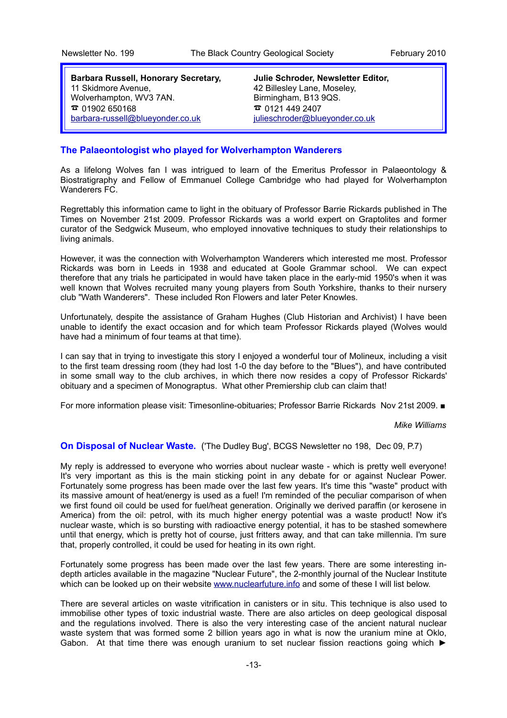**Barbara Russell, Honorary Secretary,** 11 Skidmore Avenue, Wolverhampton, WV3 7AN.  $\bar{a}$  01902 650168 [barbara-russell@blueyonder.co.uk](mailto:barbara-russell@blueyonder.co.uk)

**Julie Schroder, Newsletter Editor,** 42 Billesley Lane, Moseley, Birmingham, B13 9QS.  $\bar{a}$  0121 449 2407 [julieschroder@blueyonder.co.uk](mailto:julieschroder@blueyonder.co.uk)

#### **The Palaeontologist who played for Wolverhampton Wanderers**

As a lifelong Wolves fan I was intrigued to learn of the Emeritus Professor in Palaeontology & Biostratigraphy and Fellow of Emmanuel College Cambridge who had played for Wolverhampton Wanderers FC.

Regrettably this information came to light in the obituary of Professor Barrie Rickards published in The Times on November 21st 2009. Professor Rickards was a world expert on Graptolites and former curator of the Sedgwick Museum, who employed innovative techniques to study their relationships to living animals.

However, it was the connection with Wolverhampton Wanderers which interested me most. Professor Rickards was born in Leeds in 1938 and educated at Goole Grammar school. We can expect therefore that any trials he participated in would have taken place in the early-mid 1950's when it was well known that Wolves recruited many young players from South Yorkshire, thanks to their nursery club "Wath Wanderers". These included Ron Flowers and later Peter Knowles.

Unfortunately, despite the assistance of Graham Hughes (Club Historian and Archivist) I have been unable to identify the exact occasion and for which team Professor Rickards played (Wolves would have had a minimum of four teams at that time).

I can say that in trying to investigate this story I enjoyed a wonderful tour of Molineux, including a visit to the first team dressing room (they had lost 1-0 the day before to the "Blues"), and have contributed in some small way to the club archives, in which there now resides a copy of Professor Rickards' obituary and a specimen of Monograptus. What other Premiership club can claim that!

For more information please visit: Timesonline-obituaries; Professor Barrie Rickards Nov 21st 2009. ■

*Mike Williams*

**On Disposal of Nuclear Waste.** ('The Dudley Bug', BCGS Newsletter no 198, Dec 09, P.7)

My reply is addressed to everyone who worries about nuclear waste - which is pretty well everyone! It's very important as this is the main sticking point in any debate for or against Nuclear Power. Fortunately some progress has been made over the last few years. It's time this "waste" product with its massive amount of heat/energy is used as a fuel! I'm reminded of the peculiar comparison of when we first found oil could be used for fuel/heat generation. Originally we derived paraffin (or kerosene in America) from the oil: petrol, with its much higher energy potential was a waste product! Now it's nuclear waste, which is so bursting with radioactive energy potential, it has to be stashed somewhere until that energy, which is pretty hot of course, just fritters away, and that can take millennia. I'm sure that, properly controlled, it could be used for heating in its own right.

Fortunately some progress has been made over the last few years. There are some interesting indepth articles available in the magazine "Nuclear Future", the 2-monthly journal of the Nuclear Institute which can be looked up on their website [www.nuclearfuture.info](http://www.nuclearfuture.info/) and some of these I will list below.

There are several articles on waste vitrification in canisters or in situ. This technique is also used to immobilise other types of toxic industrial waste. There are also articles on deep geological disposal and the regulations involved. There is also the very interesting case of the ancient natural nuclear waste system that was formed some 2 billion years ago in what is now the uranium mine at Oklo, Gabon. At that time there was enough uranium to set nuclear fission reactions going which ►